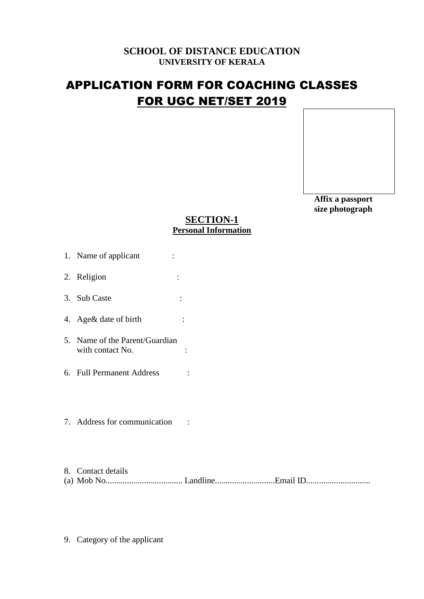## **SCHOOL OF DISTANCE EDUCATION UNIVERSITY OF KERALA**

# APPLICATION FORM FOR COACHING CLASSES FOR UGC NET/SET 2019

 **Affix a passport size photograph**

## **SECTION-1 Personal Information**

- 1. Name of applicant :
- 2. Religion :
- 3. Sub Caste :
- 4. Age& date of birth :
- 5. Name of the Parent/Guardian with contact No.  $\qquad \qquad$ :
- 6. Full Permanent Address :
- 7. Address for communication :
- 8. Contact details (a) Mob No.................................... Landline............................Email ID..............................
- 9. Category of the applicant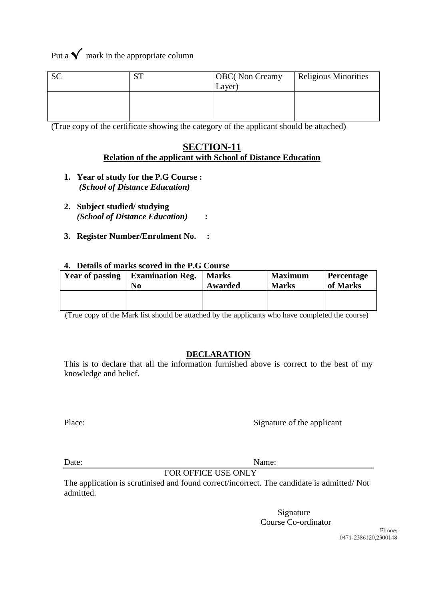Put a  $\checkmark$  mark in the appropriate column

| $\sim$ | $\alpha$ TT | <b>OBC</b> (Non Creamy | <b>Religious Minorities</b> |
|--------|-------------|------------------------|-----------------------------|
| υU     | ບ⊥          | Layer)                 |                             |
|        |             |                        |                             |

(True copy of the certificate showing the category of the applicant should be attached)

### **SECTION-11 Relation of the applicant with School of Distance Education**

- **1. Year of study for the P.G Course :** *(School of Distance Education)*
- **2. Subject studied/ studying** *(School of Distance Education)* **:**
- **3. Register Number/Enrolment No. :**

#### **4. Details of marks scored in the P.G Course**

| Year of passing | <b>Examination Reg.</b> | <b>Marks</b> | <b>Maximum</b> | <b>Percentage</b> |
|-----------------|-------------------------|--------------|----------------|-------------------|
|                 | N <sub>0</sub>          | Awarded      | <b>Marks</b>   | of Marks          |
|                 |                         |              |                |                   |

(True copy of the Mark list should be attached by the applicants who have completed the course)

#### **DECLARATION**

This is to declare that all the information furnished above is correct to the best of my knowledge and belief.

Place: Signature of the applicant

Date: Name:

FOR OFFICE USE ONLY

The application is scrutinised and found correct/incorrect. The candidate is admitted/ Not admitted.

> Signature Course Co-ordinator

> > Phone: .0471-2386120,2300148